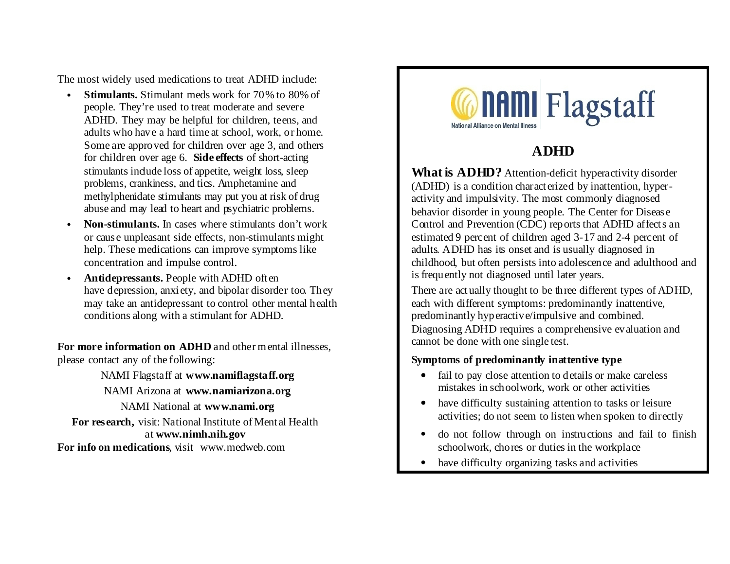The most widely used medications to treat ADHD include:

- **Stimulants.** Stimulant meds work for 70% to 80% of people. They're used to treat moderate and severe ADHD. They may be helpful for children, teens, and adults who have a hard time at school, work, or home. Some are approved for children over age 3, and others for children over age 6. **Side effects** of short-acting stimulants indude loss of appetite, weight loss, sleep problems, crankiness, and tics. Amphetamine and methylphenidate stimulants may put you at risk of drug abuse and may lead to heart and psychiatric problems.
- **Non-stimulants.** In cases where stimulants don't work or cause unpleasant side effects, non-stimulants might help. These medications can improve symptoms like concentration and impulse control.
- **Antidepressants.** People with ADHD often have depression, anxiety, and bipolar disorder too. They may take an antidepressant to control other mental health conditions along with a stimulant for ADHD.

**For more information on ADHD** and other mental illnesses, please contact any of the following:

NAMI Flagstaff at **www.namiflagstaff.org** NAMI Arizona at **www.namiarizona.org** NAMI National at **www.nami.org For research,** visit: National Institute of Mental Health at **www.nimh.nih.gov For info on medications**, visit www.medweb.com



## **ADHD**

**What is ADHD?** Attention-deficit hyperactivity disorder (ADHD) is a condition characterized by inattention, hyperactivity and impulsivity. The most commonly diagnosed behavior disorder in young people. The Center for Disease Control and Prevention (CDC) reports that ADHD affects an estimated 9 percent of children aged 3-17 and 2-4 percent of adults. ADHD has its onset and is usually diagnosed in childhood, but often persists into adolescence and adulthood and is frequently not diagnosed until later years.

There are actually thought to be three different types of ADHD, each with different symptoms: predominantly inattentive, predominantly hyperactive/impulsive and combined. Diagnosing ADHD requires a comprehensive evaluation and cannot be done with one single test.

#### **Symptoms of predominantly inattentive type**

- fail to pay close attention to details or make careless mistakes in schoolwork, work or other activities
- have difficulty sustaining attention to tasks or leisure activities; do not seem to listen when spoken to directly
- do not follow through on instructions and fail to finish schoolwork, chores or duties in the workplace
- have difficulty organizing tasks and activities